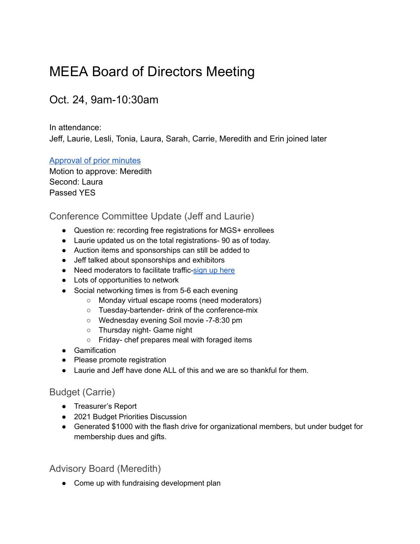# <span id="page-0-0"></span>MEEA Board of Directors Meeting

# Oct. 24, 9am-10:30am

In attendance:

Jeff, Laurie, Lesli, Tonia, Laura, Sarah, Carrie, Meredith and Erin joined later

#### [Approval of prior minutes](#page-0-0)

Motion to approve: Meredith Second: Laura Passed YES

### Conference Committee Update (Jeff and Laurie)

- Question re: recording free registrations for MGS+ enrollees
- Laurie updated us on the total registrations- 90 as of today.
- Auction items and sponsorships can still be added to
- Jeff talked about sponsorships and exhibitors
- Need moderators to facilitate traffic-sign up [here](https://docs.google.com/forms/d/e/1FAIpQLSd9rgub5jtati3P7DhT-XP2wqExi6wyCITOfrDXY7F06Q_wyg/viewform)
- Lots of opportunities to network
- Social networking times is from 5-6 each evening
	- Monday virtual escape rooms (need moderators)
	- Tuesday-bartender- drink of the conference-mix
	- Wednesday evening Soil movie -7-8:30 pm
	- Thursday night- Game night
	- Friday- chef prepares meal with foraged items
- Gamification
- Please promote registration
- Laurie and Jeff have done ALL of this and we are so thankful for them.

#### Budget (Carrie)

- Treasurer's Report
- 2021 Budget Priorities Discussion
- Generated \$1000 with the flash drive for organizational members, but under budget for membership dues and gifts.

#### Advisory Board (Meredith)

● Come up with fundraising development plan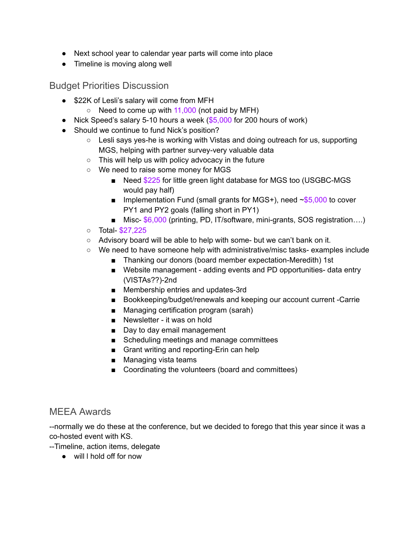- Next school year to calendar year parts will come into place
- Timeline is moving along well

Budget Priorities Discussion

- \$22K of Lesli's salary will come from MFH
	- $\circ$  Need to come up with 11,000 (not paid by MFH)
- Nick Speed's salary 5-10 hours a week  $(\$5,000$  for 200 hours of work)
- Should we continue to fund Nick's position?
	- Lesli says yes-he is working with Vistas and doing outreach for us, supporting MGS, helping with partner survey-very valuable data
	- This will help us with policy advocacy in the future
	- We need to raise some money for MGS
		- Need \$225 for little green light database for MGS too (USGBC-MGS would pay half)
		- **■** Implementation Fund (small grants for MGS+), need  $\sim$ \$5,000 to cover PY1 and PY2 goals (falling short in PY1)
		- Misc- \$6,000 (printing, PD, IT/software, mini-grants, SOS registration....)
	- Total- \$27,225
	- Advisory board will be able to help with some- but we can't bank on it.
	- We need to have someone help with administrative/misc tasks- examples include
		- Thanking our donors (board member expectation-Meredith) 1st
		- Website management adding events and PD opportunities- data entry (VISTAs??)-2nd
		- Membership entries and updates-3rd
		- Bookkeeping/budget/renewals and keeping our account current -Carrie
		- Managing certification program (sarah)
		- Newsletter it was on hold
		- Day to day email management
		- Scheduling meetings and manage committees
		- Grant writing and reporting-Erin can help
		- Managing vista teams
		- Coordinating the volunteers (board and committees)

#### MEEA Awards

--normally we do these at the conference, but we decided to forego that this year since it was a co-hosted event with KS.

--Timeline, action items, delegate

● will l hold off for now